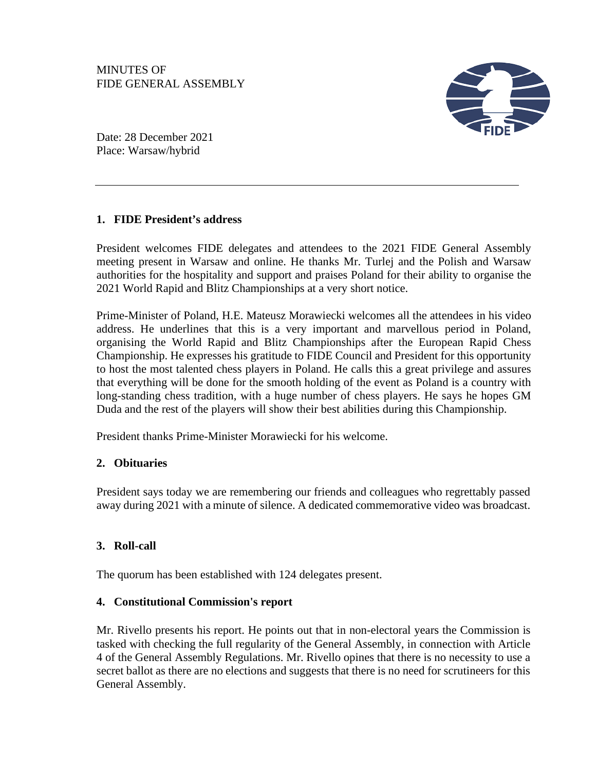

Date: 28 December 2021 Place: Warsaw/hybrid

# **1. FIDE President's address**

President welcomes FIDE delegates and attendees to the 2021 FIDE General Assembly meeting present in Warsaw and online. He thanks Mr. Turlej and the Polish and Warsaw authorities for the hospitality and support and praises Poland for their ability to organise the 2021 World Rapid and Blitz Championships at a very short notice.

Prime-Minister of Poland, H.E. Mateusz Morawiecki welcomes all the attendees in his video address. He underlines that this is a very important and marvellous period in Poland, organising the World Rapid and Blitz Championships after the European Rapid Chess Championship. He expresses his gratitude to FIDE Council and President for this opportunity to host the most talented chess players in Poland. He calls this a great privilege and assures that everything will be done for the smooth holding of the event as Poland is a country with long-standing chess tradition, with a huge number of chess players. He says he hopes GM Duda and the rest of the players will show their best abilities during this Championship.

President thanks Prime-Minister Morawiecki for his welcome.

# **2. Obituaries**

President says today we are remembering our friends and colleagues who regrettably passed away during 2021 with a minute of silence. A dedicated commemorative video was broadcast.

# **3. Roll-call**

The quorum has been established with 124 delegates present.

## **4. Constitutional Commission's report**

Mr. Rivello presents his report. He points out that in non-electoral years the Commission is tasked with checking the full regularity of the General Assembly, in connection with Article 4 of the General Assembly Regulations. Mr. Rivello opines that there is no necessity to use a secret ballot as there are no elections and suggests that there is no need for scrutineers for this General Assembly.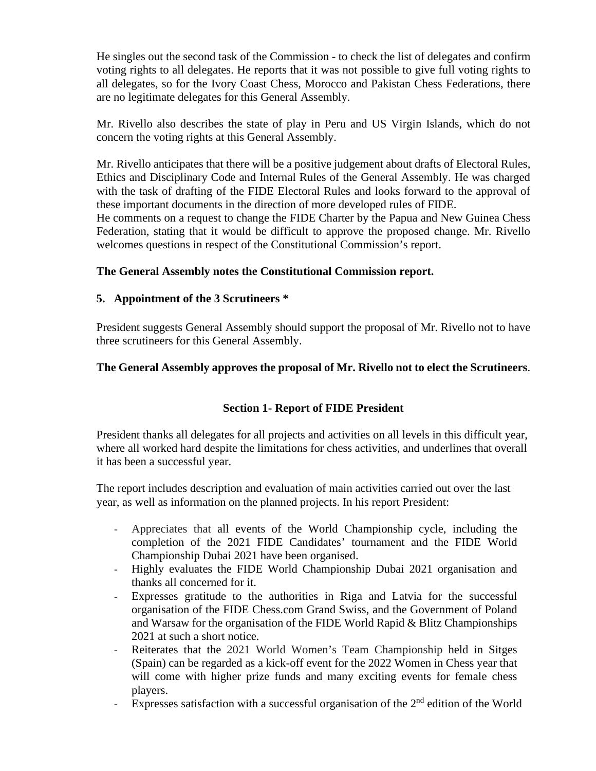He singles out the second task of the Commission - to check the list of delegates and confirm voting rights to all delegates. He reports that it was not possible to give full voting rights to all delegates, so for the Ivory Coast Chess, Morocco and Pakistan Chess Federations, there are no legitimate delegates for this General Assembly.

Mr. Rivello also describes the state of play in Peru and US Virgin Islands, which do not concern the voting rights at this General Assembly.

Mr. Rivello anticipates that there will be a positive judgement about drafts of Electoral Rules, Ethics and Disciplinary Code and Internal Rules of the General Assembly. He was charged with the task of drafting of the FIDE Electoral Rules and looks forward to the approval of these important documents in the direction of more developed rules of FIDE.

He comments on a request to change the FIDE Charter by the Papua and New Guinea Chess Federation, stating that it would be difficult to approve the proposed change. Mr. Rivello welcomes questions in respect of the Constitutional Commission's report.

## **The General Assembly notes the Constitutional Commission report.**

## **5. Appointment of the 3 Scrutineers \***

President suggests General Assembly should support the proposal of Mr. Rivello not to have three scrutineers for this General Assembly.

## **The General Assembly approves the proposal of Mr. Rivello not to elect the Scrutineers**.

## **Section 1- Report of FIDE President**

President thanks all delegates for all projects and activities on all levels in this difficult year, where all worked hard despite the limitations for chess activities, and underlines that overall it has been a successful year.

The report includes description and evaluation of main activities carried out over the last year, as well as information on the planned projects. In his report President:

- Appreciates that all events of the World Championship cycle, including the completion of the 2021 FIDE Candidates' tournament and the FIDE World Championship Dubai 2021 have been organised.
- Highly evaluates the FIDE World Championship Dubai 2021 organisation and thanks all concerned for it.
- Expresses gratitude to the authorities in Riga and Latvia for the successful organisation of the FIDE Chess.com Grand Swiss, and the Government of Poland and Warsaw for the organisation of the FIDE World Rapid & Blitz Championships 2021 at such a short notice.
- Reiterates that the 2021 World Women's Team Championship held in Sitges (Spain) can be regarded as a kick-off event for the 2022 Women in Chess year that will come with higher prize funds and many exciting events for female chess players.
- Expresses satisfaction with a successful organisation of the  $2<sup>nd</sup>$  edition of the World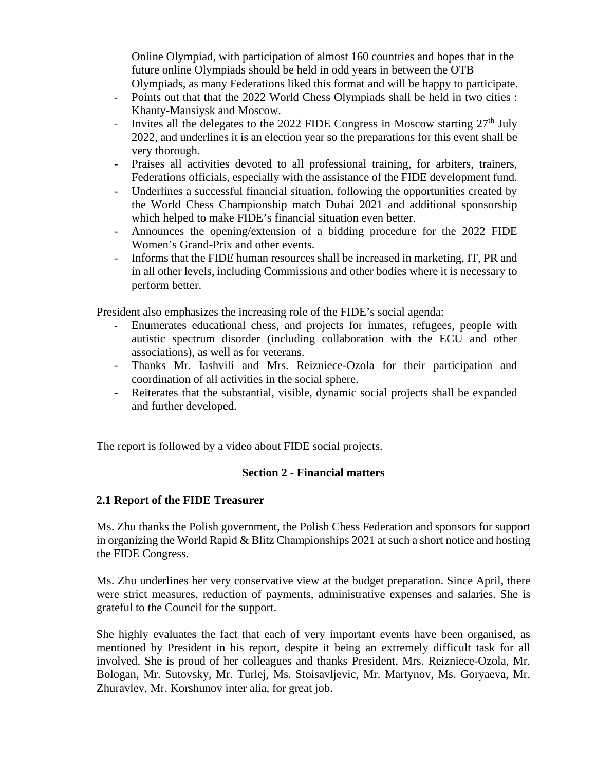Online Olympiad, with participation of almost 160 countries and hopes that in the future online Olympiads should be held in odd years in between the OTB Olympiads, as many Federations liked this format and will be happy to participate.

- Points out that that the 2022 World Chess Olympiads shall be held in two cities : Khanty-Mansiysk and Moscow.
- Invites all the delegates to the 2022 FIDE Congress in Moscow starting  $27<sup>th</sup>$  July 2022, and underlines it is an election year so the preparations for this event shall be very thorough.
- Praises all activities devoted to all professional training, for arbiters, trainers, Federations officials, especially with the assistance of the FIDE development fund.
- Underlines a successful financial situation, following the opportunities created by the World Chess Championship match Dubai 2021 and additional sponsorship which helped to make FIDE's financial situation even better.
- Announces the opening/extension of a bidding procedure for the 2022 FIDE Women's Grand-Prix and other events.
- Informs that the FIDE human resources shall be increased in marketing, IT, PR and in all other levels, including Commissions and other bodies where it is necessary to perform better.

President also emphasizes the increasing role of the FIDE's social agenda:

- Enumerates educational chess, and projects for inmates, refugees, people with autistic spectrum disorder (including collaboration with the ECU and other associations), as well as for veterans.
- Thanks Mr. Iashvili and Mrs. Reizniece-Ozola for their participation and coordination of all activities in the social sphere.
- Reiterates that the substantial, visible, dynamic social projects shall be expanded and further developed.

The report is followed by a video about FIDE social projects.

## **Section 2 - Financial matters**

### **2.1 Report of the FIDE Treasurer**

Ms. Zhu thanks the Polish government, the Polish Chess Federation and sponsors for support in organizing the World Rapid & Blitz Championships 2021 at such a short notice and hosting the FIDE Congress.

Ms. Zhu underlines her very conservative view at the budget preparation. Since April, there were strict measures, reduction of payments, administrative expenses and salaries. She is grateful to the Council for the support.

She highly evaluates the fact that each of very important events have been organised, as mentioned by President in his report, despite it being an extremely difficult task for all involved. She is proud of her colleagues and thanks President, Mrs. Reizniece-Ozola, Mr. Bologan, Mr. Sutovsky, Mr. Turlej, Ms. Stoisavljevic, Mr. Martynov, Ms. Goryaeva, Mr. Zhuravlev, Mr. Korshunov inter alia, for great job.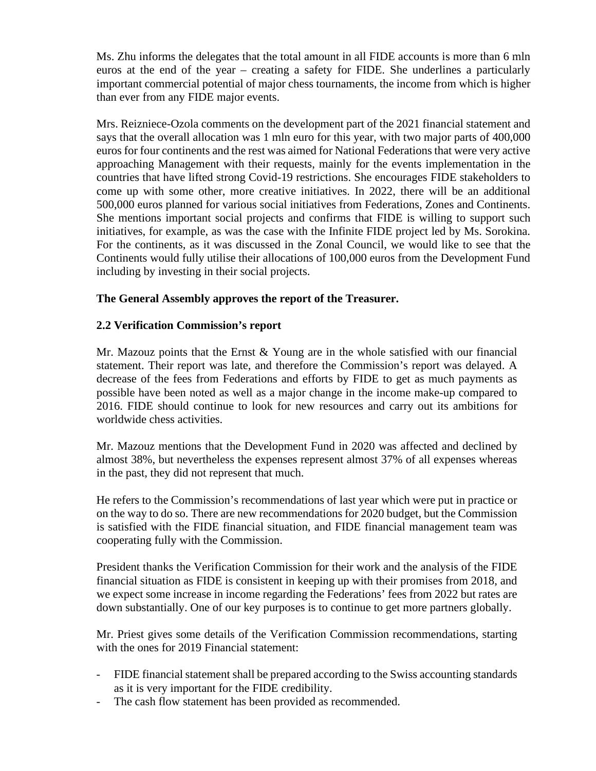Ms. Zhu informs the delegates that the total amount in all FIDE accounts is more than 6 mln euros at the end of the year – creating a safety for FIDE. She underlines a particularly important commercial potential of major chess tournaments, the income from which is higher than ever from any FIDE major events.

Mrs. Reizniece-Ozola comments on the development part of the 2021 financial statement and says that the overall allocation was 1 mln euro for this year, with two major parts of 400,000 euros for four continents and the rest was aimed for National Federations that were very active approaching Management with their requests, mainly for the events implementation in the countries that have lifted strong Covid-19 restrictions. She encourages FIDE stakeholders to come up with some other, more creative initiatives. In 2022, there will be an additional 500,000 euros planned for various social initiatives from Federations, Zones and Continents. She mentions important social projects and confirms that FIDE is willing to support such initiatives, for example, as was the case with the Infinite FIDE project led by Ms. Sorokina. For the continents, as it was discussed in the Zonal Council, we would like to see that the Continents would fully utilise their allocations of 100,000 euros from the Development Fund including by investing in their social projects.

## **The General Assembly approves the report of the Treasurer.**

## **2.2 Verification Commission's report**

Mr. Mazouz points that the Ernst & Young are in the whole satisfied with our financial statement. Their report was late, and therefore the Commission's report was delayed. A decrease of the fees from Federations and efforts by FIDE to get as much payments as possible have been noted as well as a major change in the income make-up compared to 2016. FIDE should continue to look for new resources and carry out its ambitions for worldwide chess activities.

Mr. Mazouz mentions that the Development Fund in 2020 was affected and declined by almost 38%, but nevertheless the expenses represent almost 37% of all expenses whereas in the past, they did not represent that much.

He refers to the Commission's recommendations of last year which were put in practice or on the way to do so. There are new recommendations for 2020 budget, but the Commission is satisfied with the FIDE financial situation, and FIDE financial management team was cooperating fully with the Commission.

President thanks the Verification Commission for their work and the analysis of the FIDE financial situation as FIDE is consistent in keeping up with their promises from 2018, and we expect some increase in income regarding the Federations' fees from 2022 but rates are down substantially. One of our key purposes is to continue to get more partners globally.

Mr. Priest gives some details of the Verification Commission recommendations, starting with the ones for 2019 Financial statement:

- FIDE financial statement shall be prepared according to the Swiss accounting standards as it is very important for the FIDE credibility.
- The cash flow statement has been provided as recommended.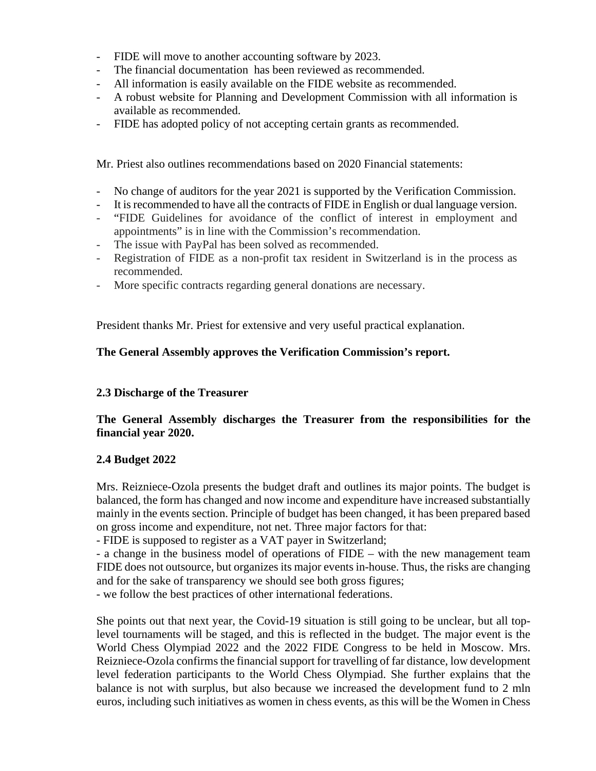- FIDE will move to another accounting software by 2023.
- The financial documentation has been reviewed as recommended.
- All information is easily available on the FIDE website as recommended.
- A robust website for Planning and Development Commission with all information is available as recommended.
- FIDE has adopted policy of not accepting certain grants as recommended.

Mr. Priest also outlines recommendations based on 2020 Financial statements:

- No change of auditors for the year 2021 is supported by the Verification Commission.
- It is recommended to have all the contracts of FIDE in English or dual language version.
- "FIDE Guidelines for avoidance of the conflict of interest in employment and appointments" is in line with the Commission's recommendation.
- The issue with PayPal has been solved as recommended.
- Registration of FIDE as a non-profit tax resident in Switzerland is in the process as recommended.
- More specific contracts regarding general donations are necessary.

President thanks Mr. Priest for extensive and very useful practical explanation.

# **The General Assembly approves the Verification Commission's report.**

## **2.3 Discharge of the Treasurer**

## **The General Assembly discharges the Treasurer from the responsibilities for the financial year 2020.**

## **2.4 Budget 2022**

Mrs. Reizniece-Ozola presents the budget draft and outlines its major points. The budget is balanced, the form has changed and now income and expenditure have increased substantially mainly in the events section. Principle of budget has been changed, it has been prepared based on gross income and expenditure, not net. Three major factors for that:

- FIDE is supposed to register as a VAT payer in Switzerland;

- a change in the business model of operations of FIDE – with the new management team FIDE does not outsource, but organizes its major events in-house. Thus, the risks are changing and for the sake of transparency we should see both gross figures;

- we follow the best practices of other international federations.

She points out that next year, the Covid-19 situation is still going to be unclear, but all toplevel tournaments will be staged, and this is reflected in the budget. The major event is the World Chess Olympiad 2022 and the 2022 FIDE Congress to be held in Moscow. Mrs. Reizniece-Ozola confirms the financial support for travelling of far distance, low development level federation participants to the World Chess Olympiad. She further explains that the balance is not with surplus, but also because we increased the development fund to 2 mln euros, including such initiatives as women in chess events, as this will be the Women in Chess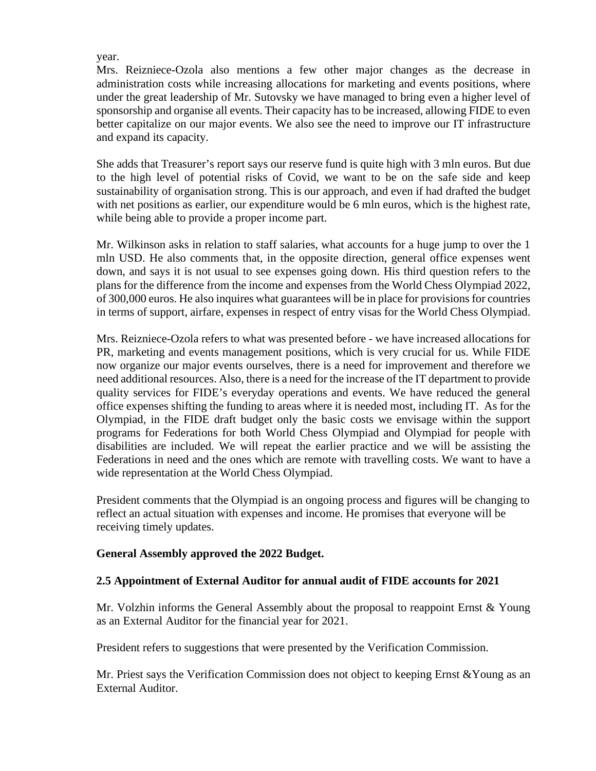#### year.

Mrs. Reizniece-Ozola also mentions a few other major changes as the decrease in administration costs while increasing allocations for marketing and events positions, where under the great leadership of Mr. Sutovsky we have managed to bring even a higher level of sponsorship and organise all events. Their capacity has to be increased, allowing FIDE to even better capitalize on our major events. We also see the need to improve our IT infrastructure and expand its capacity.

She adds that Treasurer's report says our reserve fund is quite high with 3 mln euros. But due to the high level of potential risks of Covid, we want to be on the safe side and keep sustainability of organisation strong. This is our approach, and even if had drafted the budget with net positions as earlier, our expenditure would be 6 mln euros, which is the highest rate, while being able to provide a proper income part.

Mr. Wilkinson asks in relation to staff salaries, what accounts for a huge jump to over the 1 mln USD. He also comments that, in the opposite direction, general office expenses went down, and says it is not usual to see expenses going down. His third question refers to the plans for the difference from the income and expenses from the World Chess Olympiad 2022, of 300,000 euros. He also inquires what guarantees will be in place for provisions for countries in terms of support, airfare, expenses in respect of entry visas for the World Chess Olympiad.

Mrs. Reizniece-Ozola refers to what was presented before - we have increased allocations for PR, marketing and events management positions, which is very crucial for us. While FIDE now organize our major events ourselves, there is a need for improvement and therefore we need additional resources. Also, there is a need for the increase of the IT department to provide quality services for FIDE's everyday operations and events. We have reduced the general office expenses shifting the funding to areas where it is needed most, including IT. As for the Olympiad, in the FIDE draft budget only the basic costs we envisage within the support programs for Federations for both World Chess Olympiad and Olympiad for people with disabilities are included. We will repeat the earlier practice and we will be assisting the Federations in need and the ones which are remote with travelling costs. We want to have a wide representation at the World Chess Olympiad.

President comments that the Olympiad is an ongoing process and figures will be changing to reflect an actual situation with expenses and income. He promises that everyone will be receiving timely updates.

### **General Assembly approved the 2022 Budget.**

### **2.5 Appointment of External Auditor for annual audit of FIDE accounts for 2021**

Mr. Volzhin informs the General Assembly about the proposal to reappoint Ernst & Young as an External Auditor for the financial year for 2021.

President refers to suggestions that were presented by the Verification Commission.

Mr. Priest says the Verification Commission does not object to keeping Ernst &Young as an External Auditor.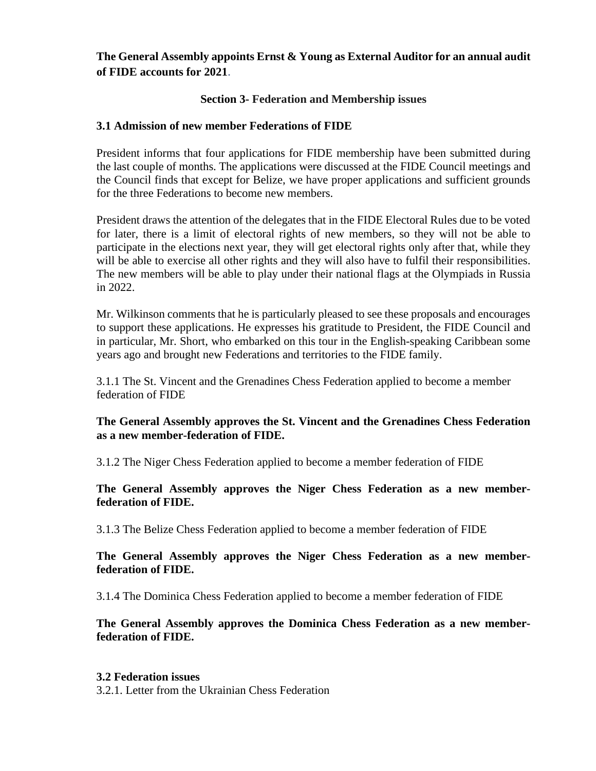## **The General Assembly appoints Ernst & Young as External Auditor for an annual audit of FIDE accounts for 2021**.

## **Section 3- Federation and Membership issues**

## **3.1 Admission of new member Federations of FIDE**

President informs that four applications for FIDE membership have been submitted during the last couple of months. The applications were discussed at the FIDE Council meetings and the Council finds that except for Belize, we have proper applications and sufficient grounds for the three Federations to become new members.

President draws the attention of the delegates that in the FIDE Electoral Rules due to be voted for later, there is a limit of electoral rights of new members, so they will not be able to participate in the elections next year, they will get electoral rights only after that, while they will be able to exercise all other rights and they will also have to fulfil their responsibilities. The new members will be able to play under their national flags at the Olympiads in Russia in 2022.

Mr. Wilkinson comments that he is particularly pleased to see these proposals and encourages to support these applications. He expresses his gratitude to President, the FIDE Council and in particular, Mr. Short, who embarked on this tour in the English-speaking Caribbean some years ago and brought new Federations and territories to the FIDE family.

3.1.1 The St. Vincent and the Grenadines Chess Federation applied to become a member federation of FIDE

## **The General Assembly approves the St. Vincent and the Grenadines Chess Federation as a new member-federation of FIDE.**

3.1.2 The Niger Chess Federation applied to become a member federation of FIDE

### **The General Assembly approves the Niger Chess Federation as a new memberfederation of FIDE.**

3.1.3 The Belize Chess Federation applied to become a member federation of FIDE

### **The General Assembly approves the Niger Chess Federation as a new memberfederation of FIDE.**

3.1.4 The Dominica Chess Federation applied to become a member federation of FIDE

**The General Assembly approves the Dominica Chess Federation as a new memberfederation of FIDE.**

#### **3.2 Federation issues**

3.2.1. Letter from the Ukrainian Chess Federation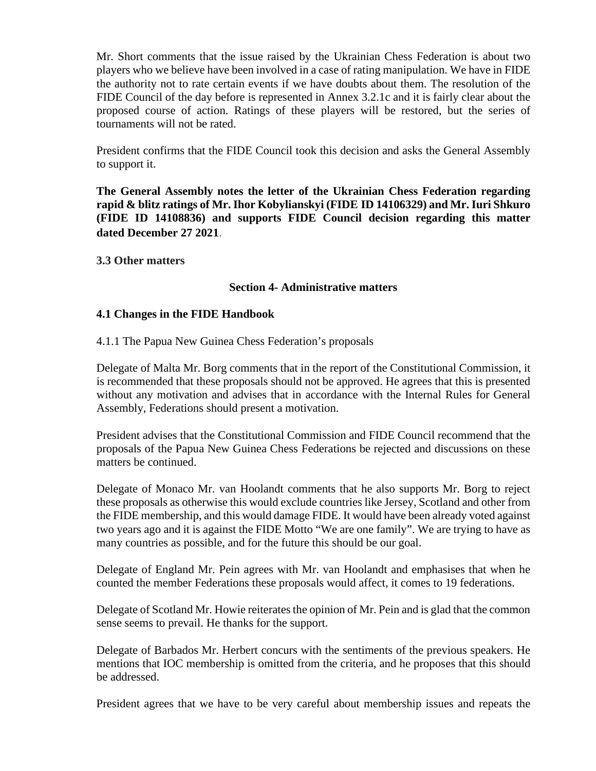Mr. Short comments that the issue raised by the Ukrainian Chess Federation is about two players who we believe have been involved in a case of rating manipulation. We have in FIDE the authority not to rate certain events if we have doubts about them. The resolution of the FIDE Council of the day before is represented in Annex 3.2.1c and it is fairly clear about the proposed course of action. Ratings of these players will be restored, but the series of tournaments will not be rated.

President confirms that the FIDE Council took this decision and asks the General Assembly to support it.

**The General Assembly notes the letter of the Ukrainian Chess Federation regarding rapid & blitz ratings of Mr. Ihor Kobylianskyi (FIDE ID 14106329) and Mr. Iuri Shkuro (FIDE ID 14108836) and supports FIDE Council decision regarding this matter dated December 27 2021**.

**3.3 Other matters**

### **Section 4- Administrative matters**

### **4.1 Changes in the FIDE Handbook**

4.1.1 The Papua New Guinea Chess Federation's proposals

Delegate of Malta Mr. Borg comments that in the report of the Constitutional Commission, it is recommended that these proposals should not be approved. He agrees that this is presented without any motivation and advises that in accordance with the Internal Rules for General Assembly, Federations should present a motivation.

President advises that the Constitutional Commission and FIDE Council recommend that the proposals of the Papua New Guinea Chess Federations be rejected and discussions on these matters be continued.

Delegate of Monaco Mr. van Hoolandt comments that he also supports Mr. Borg to reject these proposals as otherwise this would exclude countries like Jersey, Scotland and other from the FIDE membership, and this would damage FIDE. It would have been already voted against two years ago and it is against the FIDE Motto "We are one family". We are trying to have as many countries as possible, and for the future this should be our goal.

Delegate of England Mr. Pein agrees with Mr. van Hoolandt and emphasises that when he counted the member Federations these proposals would affect, it comes to 19 federations.

Delegate of Scotland Mr. Howie reiterates the opinion of Mr. Pein and is glad that the common sense seems to prevail. He thanks for the support.

Delegate of Barbados Mr. Herbert concurs with the sentiments of the previous speakers. He mentions that IOC membership is omitted from the criteria, and he proposes that this should be addressed.

President agrees that we have to be very careful about membership issues and repeats the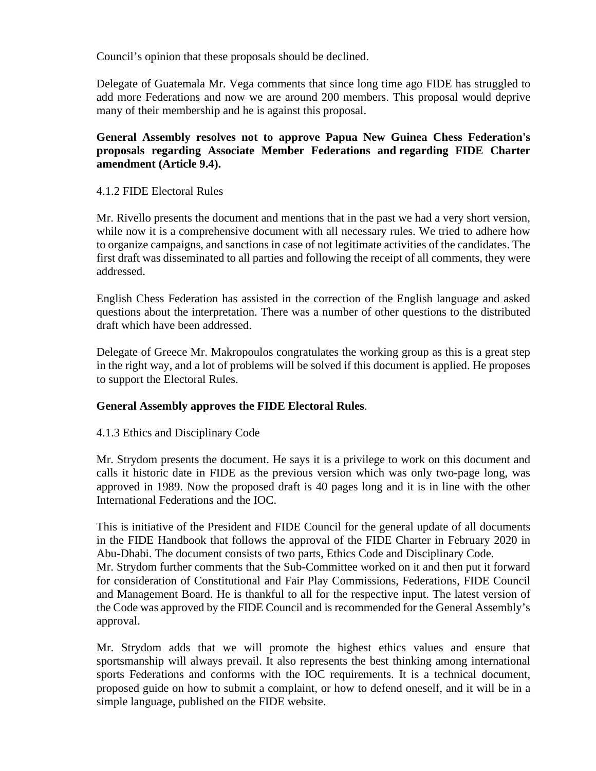Council's opinion that these proposals should be declined.

Delegate of Guatemala Mr. Vega comments that since long time ago FIDE has struggled to add more Federations and now we are around 200 members. This proposal would deprive many of their membership and he is against this proposal.

**General Assembly resolves not to approve Papua New Guinea Chess Federation's proposals regarding Associate Member Federations and regarding FIDE Charter amendment (Article 9.4).**

### 4.1.2 FIDE Electoral Rules

Mr. Rivello presents the document and mentions that in the past we had a very short version, while now it is a comprehensive document with all necessary rules. We tried to adhere how to organize campaigns, and sanctions in case of not legitimate activities of the candidates. The first draft was disseminated to all parties and following the receipt of all comments, they were addressed.

English Chess Federation has assisted in the correction of the English language and asked questions about the interpretation. There was a number of other questions to the distributed draft which have been addressed.

Delegate of Greece Mr. Makropoulos congratulates the working group as this is a great step in the right way, and a lot of problems will be solved if this document is applied. He proposes to support the Electoral Rules.

### **General Assembly approves the FIDE Electoral Rules**.

### 4.1.3 Ethics and Disciplinary Code

Mr. Strydom presents the document. He says it is a privilege to work on this document and calls it historic date in FIDE as the previous version which was only two-page long, was approved in 1989. Now the proposed draft is 40 pages long and it is in line with the other International Federations and the IOC.

This is initiative of the President and FIDE Council for the general update of all documents in the FIDE Handbook that follows the approval of the FIDE Charter in February 2020 in Abu-Dhabi. The document consists of two parts, Ethics Code and Disciplinary Code. Mr. Strydom further comments that the Sub-Committee worked on it and then put it forward for consideration of Constitutional and Fair Play Commissions, Federations, FIDE Council and Management Board. He is thankful to all for the respective input. The latest version of the Code was approved by the FIDE Council and is recommended for the General Assembly's approval.

Mr. Strydom adds that we will promote the highest ethics values and ensure that sportsmanship will always prevail. It also represents the best thinking among international sports Federations and conforms with the IOC requirements. It is a technical document, proposed guide on how to submit a complaint, or how to defend oneself, and it will be in a simple language, published on the FIDE website.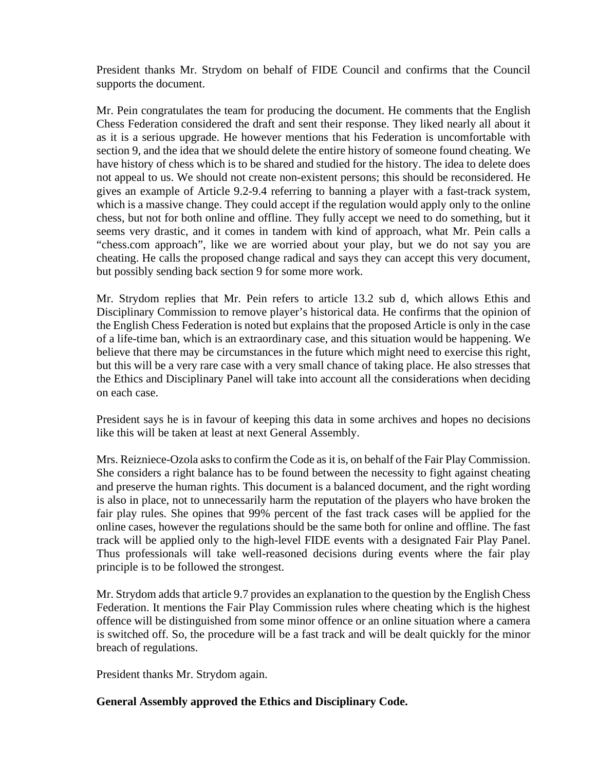President thanks Mr. Strydom on behalf of FIDE Council and confirms that the Council supports the document.

Mr. Pein congratulates the team for producing the document. He comments that the English Chess Federation considered the draft and sent their response. They liked nearly all about it as it is a serious upgrade. He however mentions that his Federation is uncomfortable with section 9, and the idea that we should delete the entire history of someone found cheating. We have history of chess which is to be shared and studied for the history. The idea to delete does not appeal to us. We should not create non-existent persons; this should be reconsidered. He gives an example of Article 9.2-9.4 referring to banning a player with a fast-track system, which is a massive change. They could accept if the regulation would apply only to the online chess, but not for both online and offline. They fully accept we need to do something, but it seems very drastic, and it comes in tandem with kind of approach, what Mr. Pein calls a "chess.com approach", like we are worried about your play, but we do not say you are cheating. He calls the proposed change radical and says they can accept this very document, but possibly sending back section 9 for some more work.

Mr. Strydom replies that Mr. Pein refers to article 13.2 sub d, which allows Ethis and Disciplinary Commission to remove player's historical data. He confirms that the opinion of the English Chess Federation is noted but explains that the proposed Article is only in the case of a life-time ban, which is an extraordinary case, and this situation would be happening. We believe that there may be circumstances in the future which might need to exercise this right, but this will be a very rare case with a very small chance of taking place. He also stresses that the Ethics and Disciplinary Panel will take into account all the considerations when deciding on each case.

President says he is in favour of keeping this data in some archives and hopes no decisions like this will be taken at least at next General Assembly.

Mrs. Reizniece-Ozola asks to confirm the Code as it is, on behalf of the Fair Play Commission. She considers a right balance has to be found between the necessity to fight against cheating and preserve the human rights. This document is a balanced document, and the right wording is also in place, not to unnecessarily harm the reputation of the players who have broken the fair play rules. She opines that 99% percent of the fast track cases will be applied for the online cases, however the regulations should be the same both for online and offline. The fast track will be applied only to the high-level FIDE events with a designated Fair Play Panel. Thus professionals will take well-reasoned decisions during events where the fair play principle is to be followed the strongest.

Mr. Strydom adds that article 9.7 provides an explanation to the question by the English Chess Federation. It mentions the Fair Play Commission rules where cheating which is the highest offence will be distinguished from some minor offence or an online situation where a camera is switched off. So, the procedure will be a fast track and will be dealt quickly for the minor breach of regulations.

President thanks Mr. Strydom again.

## **General Assembly approved the Ethics and Disciplinary Code.**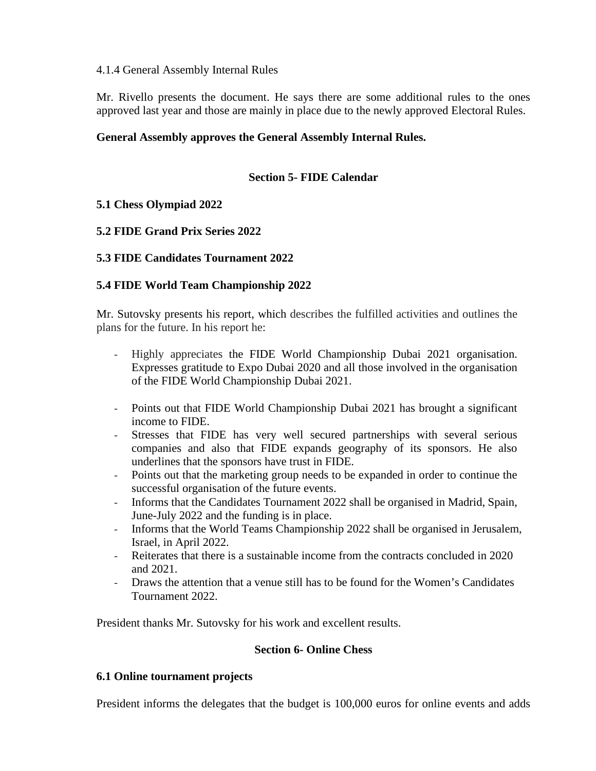### 4.1.4 General Assembly Internal Rules

Mr. Rivello presents the document. He says there are some additional rules to the ones approved last year and those are mainly in place due to the newly approved Electoral Rules.

## **General Assembly approves the General Assembly Internal Rules.**

## **Section 5- FIDE Calendar**

## **5.1 Chess Olympiad 2022**

## **5.2 FIDE Grand Prix Series 2022**

## **5.3 FIDE Candidates Tournament 2022**

## **5.4 FIDE World Team Championship 2022**

Mr. Sutovsky presents his report, which describes the fulfilled activities and outlines the plans for the future. In his report he:

- Highly appreciates the FIDE World Championship Dubai 2021 organisation. Expresses gratitude to Expo Dubai 2020 and all those involved in the organisation of the FIDE World Championship Dubai 2021.
- Points out that FIDE World Championship Dubai 2021 has brought a significant income to FIDE.
- Stresses that FIDE has very well secured partnerships with several serious companies and also that FIDE expands geography of its sponsors. He also underlines that the sponsors have trust in FIDE.
- Points out that the marketing group needs to be expanded in order to continue the successful organisation of the future events.
- Informs that the Candidates Tournament 2022 shall be organised in Madrid, Spain, June-July 2022 and the funding is in place.
- Informs that the World Teams Championship 2022 shall be organised in Jerusalem, Israel, in April 2022.
- Reiterates that there is a sustainable income from the contracts concluded in 2020 and 2021.
- Draws the attention that a venue still has to be found for the Women's Candidates Tournament 2022.

President thanks Mr. Sutovsky for his work and excellent results.

### **Section 6- Online Chess**

### **6.1 Online tournament projects**

President informs the delegates that the budget is 100,000 euros for online events and adds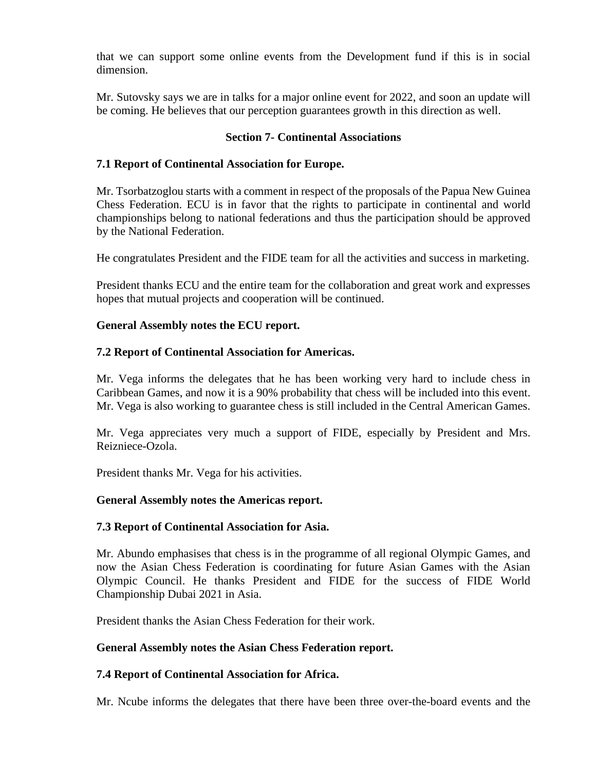that we can support some online events from the Development fund if this is in social dimension.

Mr. Sutovsky says we are in talks for a major online event for 2022, and soon an update will be coming. He believes that our perception guarantees growth in this direction as well.

## **Section 7- Continental Associations**

## **7.1 Report of Continental Association for Europe.**

Mr. Tsorbatzoglou starts with a comment in respect of the proposals of the Papua New Guinea Chess Federation. ECU is in favor that the rights to participate in continental and world championships belong to national federations and thus the participation should be approved by the National Federation.

He congratulates President and the FIDE team for all the activities and success in marketing.

President thanks ECU and the entire team for the collaboration and great work and expresses hopes that mutual projects and cooperation will be continued.

### **General Assembly notes the ECU report.**

### **7.2 Report of Continental Association for Americas.**

Mr. Vega informs the delegates that he has been working very hard to include chess in Caribbean Games, and now it is a 90% probability that chess will be included into this event. Mr. Vega is also working to guarantee chess is still included in the Central American Games.

Mr. Vega appreciates very much a support of FIDE, especially by President and Mrs. Reizniece-Ozola.

President thanks Mr. Vega for his activities.

### **General Assembly notes the Americas report.**

### **7.3 Report of Continental Association for Asia.**

Mr. Abundo emphasises that chess is in the programme of all regional Olympic Games, and now the Asian Chess Federation is coordinating for future Asian Games with the Asian Olympic Council. He thanks President and FIDE for the success of FIDE World Championship Dubai 2021 in Asia.

President thanks the Asian Chess Federation for their work.

### **General Assembly notes the Asian Chess Federation report.**

### **7.4 Report of Continental Association for Africa.**

Mr. Ncube informs the delegates that there have been three over-the-board events and the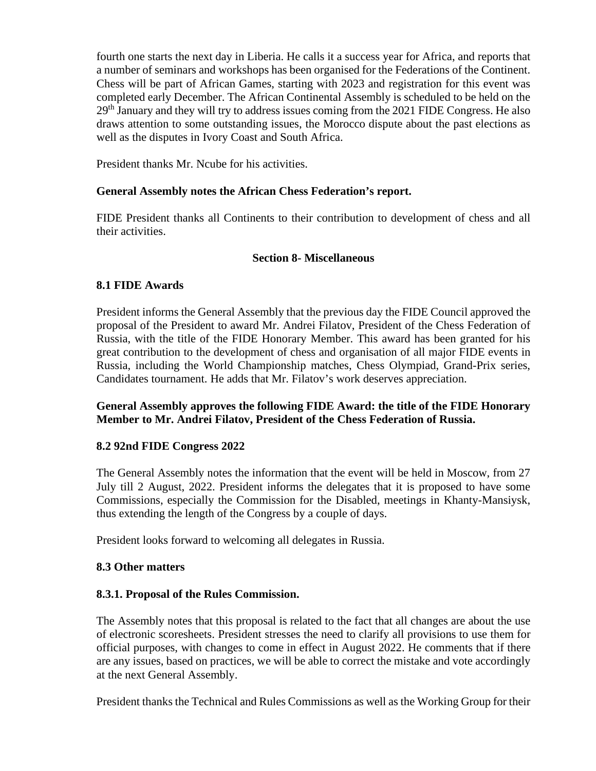fourth one starts the next day in Liberia. He calls it a success year for Africa, and reports that a number of seminars and workshops has been organised for the Federations of the Continent. Chess will be part of African Games, starting with 2023 and registration for this event was completed early December. The African Continental Assembly is scheduled to be held on the 29<sup>th</sup> January and they will try to address issues coming from the 2021 FIDE Congress. He also draws attention to some outstanding issues, the Morocco dispute about the past elections as well as the disputes in Ivory Coast and South Africa.

President thanks Mr. Ncube for his activities.

## **General Assembly notes the African Chess Federation's report.**

FIDE President thanks all Continents to their contribution to development of chess and all their activities.

### **Section 8- Miscellaneous**

## **8.1 FIDE Awards**

President informs the General Assembly that the previous day the FIDE Council approved the proposal of the President to award Mr. Andrei Filatov, President of the Chess Federation of Russia, with the title of the FIDE Honorary Member. This award has been granted for his great contribution to the development of chess and organisation of all major FIDE events in Russia, including the World Championship matches, Chess Olympiad, Grand-Prix series, Candidates tournament. He adds that Mr. Filatov's work deserves appreciation.

## **General Assembly approves the following FIDE Award: the title of the FIDE Honorary Member to Mr. Andrei Filatov, President of the Chess Federation of Russia.**

### **8.2 92nd FIDE Congress 2022**

The General Assembly notes the information that the event will be held in Moscow, from 27 July till 2 August, 2022. President informs the delegates that it is proposed to have some Commissions, especially the Commission for the Disabled, meetings in Khanty-Mansiysk, thus extending the length of the Congress by a couple of days.

President looks forward to welcoming all delegates in Russia.

## **8.3 Other matters**

### **8.3.1. Proposal of the Rules Commission.**

The Assembly notes that this proposal is related to the fact that all changes are about the use of electronic scoresheets. President stresses the need to clarify all provisions to use them for official purposes, with changes to come in effect in August 2022. He comments that if there are any issues, based on practices, we will be able to correct the mistake and vote accordingly at the next General Assembly.

President thanks the Technical and Rules Commissions as well as the Working Group for their